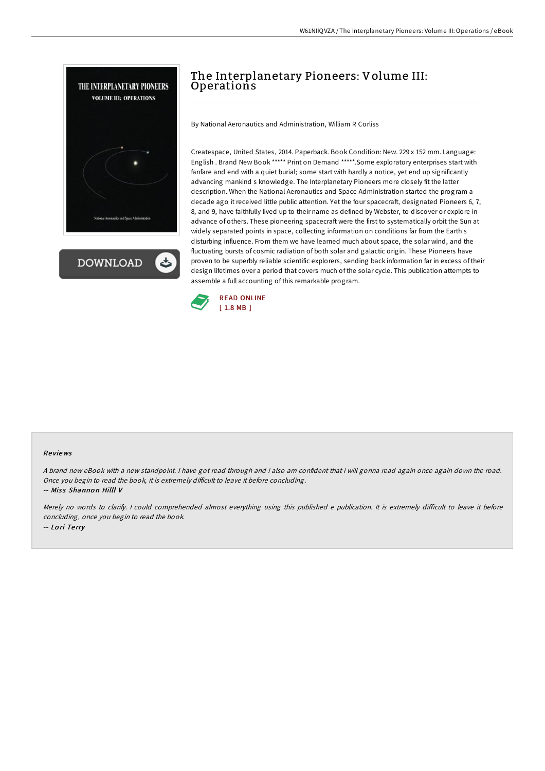

**DOWNLOAD** 

# The Interplanetary Pioneers: Volume III: **Operations**

By National Aeronautics and Administration, William R Corliss

Createspace, United States, 2014. Paperback. Book Condition: New. 229 x 152 mm. Language: English . Brand New Book \*\*\*\*\* Print on Demand \*\*\*\*\*.Some exploratory enterprises start with fanfare and end with a quiet burial; some start with hardly a notice, yet end up significantly advancing mankind s knowledge. The Interplanetary Pioneers more closely fit the latter description. When the National Aeronautics and Space Administration started the program a decade ago it received little public attention. Yet the four spacecraft, designated Pioneers 6, 7, 8, and 9, have faithfully lived up to their name as defined by Webster, to discover or explore in advance of others. These pioneering spacecraft were the first to systematically orbit the Sun at widely separated points in space, collecting information on conditions far from the Earth s disturbing influence. From them we have learned much about space, the solar wind, and the fluctuating bursts of cosmic radiation of both solar and galactic origin. These Pioneers have proven to be superbly reliable scientific explorers, sending back information far in excess of their design lifetimes over a period that covers much of the solar cycle. This publication attempts to assemble a full accounting of this remarkable program.



#### Re views

<sup>A</sup> brand new eBook with <sup>a</sup> new standpoint. <sup>I</sup> have got read through and i also am confident that i will gonna read again once again down the road. Once you begin to read the book, it is extremely difficult to leave it before concluding.

-- Miss Shannon Hilll V

Merely no words to clarify. I could comprehended almost everything using this published e publication. It is extremely difficult to leave it before concluding, once you begin to read the book. -- Lo ri Te rry